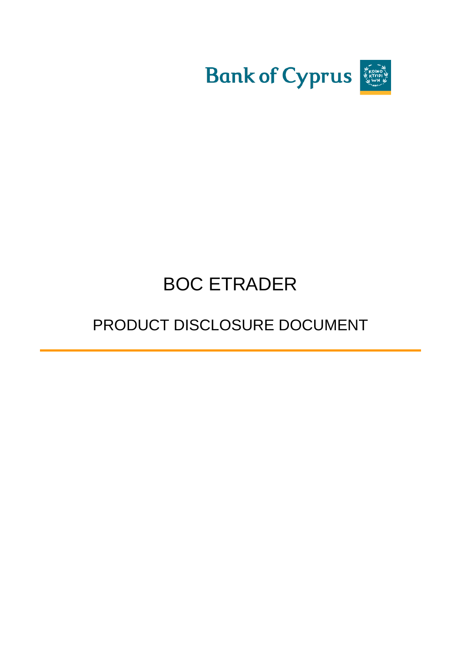

# BOC ETRADER

# PRODUCT DISCLOSURE DOCUMENT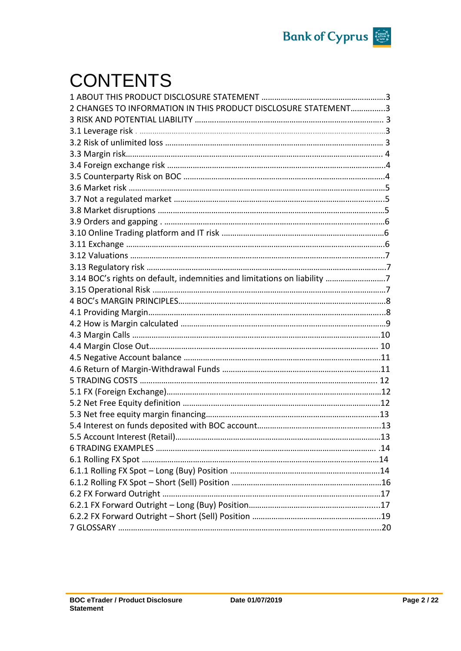

# **CONTENTS**

| 2 CHANGES TO INFORMATION IN THIS PRODUCT DISCLOSURE STATEMENT3           |     |
|--------------------------------------------------------------------------|-----|
|                                                                          |     |
|                                                                          |     |
|                                                                          |     |
|                                                                          |     |
|                                                                          |     |
|                                                                          |     |
|                                                                          |     |
|                                                                          |     |
|                                                                          |     |
|                                                                          |     |
|                                                                          |     |
|                                                                          |     |
|                                                                          |     |
|                                                                          |     |
| 3.14 BOC's rights on default, indemnities and limitations on liability 7 |     |
|                                                                          |     |
|                                                                          |     |
|                                                                          |     |
|                                                                          |     |
|                                                                          |     |
|                                                                          |     |
|                                                                          |     |
|                                                                          |     |
|                                                                          |     |
|                                                                          |     |
|                                                                          |     |
|                                                                          |     |
|                                                                          |     |
| 5.5 Account Interest (Retail).                                           | .13 |
|                                                                          |     |
|                                                                          |     |
|                                                                          |     |
|                                                                          |     |
|                                                                          |     |
|                                                                          |     |
|                                                                          |     |
|                                                                          |     |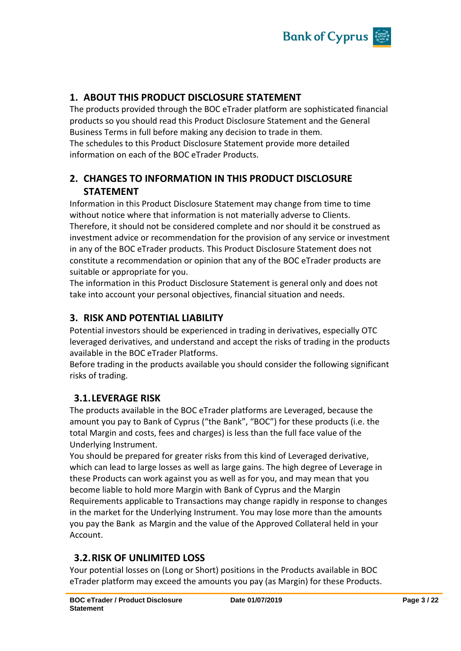

## **1. ABOUT THIS PRODUCT DISCLOSURE STATEMENT**

The products provided through the BOC eTrader platform are sophisticated financial products so you should read this Product Disclosure Statement and the General Business Terms in full before making any decision to trade in them. The schedules to this Product Disclosure Statement provide more detailed information on each of the BOC eTrader Products.

# **2. CHANGES TO INFORMATION IN THIS PRODUCT DISCLOSURE STATEMENT**

Information in this Product Disclosure Statement may change from time to time without notice where that information is not materially adverse to Clients. Therefore, it should not be considered complete and nor should it be construed as investment advice or recommendation for the provision of any service or investment in any of the BOC eTrader products. This Product Disclosure Statement does not constitute a recommendation or opinion that any of the BOC eTrader products are suitable or appropriate for you.

The information in this Product Disclosure Statement is general only and does not take into account your personal objectives, financial situation and needs.

# **3. RISK AND POTENTIAL LIABILITY**

Potential investors should be experienced in trading in derivatives, especially OTC leveraged derivatives, and understand and accept the risks of trading in the products available in the BOC eTrader Platforms.

Before trading in the products available you should consider the following significant risks of trading.

## **3.1.LEVERAGE RISK**

The products available in the BOC eTrader platforms are Leveraged, because the amount you pay to Bank of Cyprus ("the Bank", "BOC") for these products (i.e. the total Margin and costs, fees and charges) is less than the full face value of the Underlying Instrument.

You should be prepared for greater risks from this kind of Leveraged derivative, which can lead to large losses as well as large gains. The high degree of Leverage in these Products can work against you as well as for you, and may mean that you become liable to hold more Margin with Bank of Cyprus and the Margin Requirements applicable to Transactions may change rapidly in response to changes in the market for the Underlying Instrument. You may lose more than the amounts you pay the Bank as Margin and the value of the Approved Collateral held in your Account.

## **3.2.RISK OF UNLIMITED LOSS**

Your potential losses on (Long or Short) positions in the Products available in BOC eTrader platform may exceed the amounts you pay (as Margin) for these Products.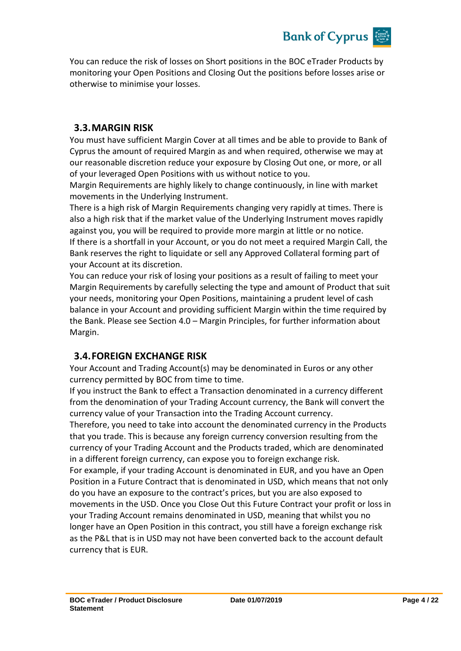

You can reduce the risk of losses on Short positions in the BOC eTrader Products by monitoring your Open Positions and Closing Out the positions before losses arise or otherwise to minimise your losses.

## **3.3.MARGIN RISK**

You must have sufficient Margin Cover at all times and be able to provide to Bank of Cyprus the amount of required Margin as and when required, otherwise we may at our reasonable discretion reduce your exposure by Closing Out one, or more, or all of your leveraged Open Positions with us without notice to you.

Margin Requirements are highly likely to change continuously, in line with market movements in the Underlying Instrument.

There is a high risk of Margin Requirements changing very rapidly at times. There is also a high risk that if the market value of the Underlying Instrument moves rapidly against you, you will be required to provide more margin at little or no notice. If there is a shortfall in your Account, or you do not meet a required Margin Call, the Bank reserves the right to liquidate or sell any Approved Collateral forming part of your Account at its discretion.

You can reduce your risk of losing your positions as a result of failing to meet your Margin Requirements by carefully selecting the type and amount of Product that suit your needs, monitoring your Open Positions, maintaining a prudent level of cash balance in your Account and providing sufficient Margin within the time required by the Bank. Please see Section 4.0 – Margin Principles, for further information about Margin.

## **3.4.FOREIGN EXCHANGE RISK**

Your Account and Trading Account(s) may be denominated in Euros or any other currency permitted by BOC from time to time.

If you instruct the Bank to effect a Transaction denominated in a currency different from the denomination of your Trading Account currency, the Bank will convert the currency value of your Transaction into the Trading Account currency.

Therefore, you need to take into account the denominated currency in the Products that you trade. This is because any foreign currency conversion resulting from the currency of your Trading Account and the Products traded, which are denominated in a different foreign currency, can expose you to foreign exchange risk.

For example, if your trading Account is denominated in EUR, and you have an Open Position in a Future Contract that is denominated in USD, which means that not only do you have an exposure to the contract's prices, but you are also exposed to movements in the USD. Once you Close Out this Future Contract your profit or loss in your Trading Account remains denominated in USD, meaning that whilst you no longer have an Open Position in this contract, you still have a foreign exchange risk as the P&L that is in USD may not have been converted back to the account default currency that is EUR.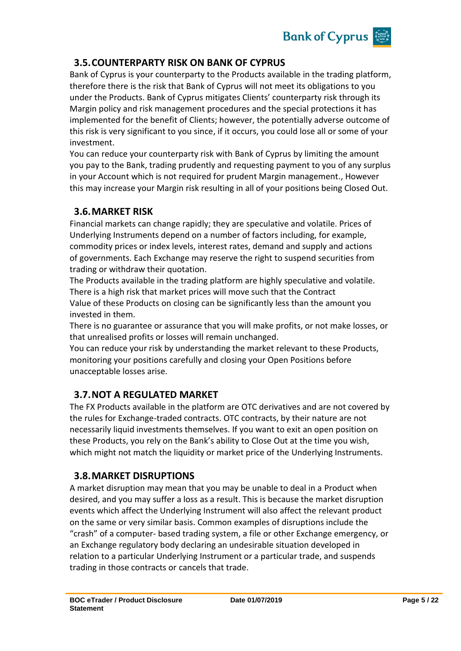

# **3.5.COUNTERPARTY RISK ON BANK OF CYPRUS**

Bank of Cyprus is your counterparty to the Products available in the trading platform, therefore there is the risk that Bank of Cyprus will not meet its obligations to you under the Products. Bank of Cyprus mitigates Clients' counterparty risk through its Margin policy and risk management procedures and the special protections it has implemented for the benefit of Clients; however, the potentially adverse outcome of this risk is very significant to you since, if it occurs, you could lose all or some of your investment.

You can reduce your counterparty risk with Bank of Cyprus by limiting the amount you pay to the Bank, trading prudently and requesting payment to you of any surplus in your Account which is not required for prudent Margin management., However this may increase your Margin risk resulting in all of your positions being Closed Out.

## **3.6.MARKET RISK**

Financial markets can change rapidly; they are speculative and volatile. Prices of Underlying Instruments depend on a number of factors including, for example, commodity prices or index levels, interest rates, demand and supply and actions of governments. Each Exchange may reserve the right to suspend securities from trading or withdraw their quotation.

The Products available in the trading platform are highly speculative and volatile. There is a high risk that market prices will move such that the Contract Value of these Products on closing can be significantly less than the amount you invested in them.

There is no guarantee or assurance that you will make profits, or not make losses, or that unrealised profits or losses will remain unchanged.

You can reduce your risk by understanding the market relevant to these Products, monitoring your positions carefully and closing your Open Positions before unacceptable losses arise.

# **3.7.NOT A REGULATED MARKET**

The FX Products available in the platform are OTC derivatives and are not covered by the rules for Exchange-traded contracts. OTC contracts, by their nature are not necessarily liquid investments themselves. If you want to exit an open position on these Products, you rely on the Bank's ability to Close Out at the time you wish, which might not match the liquidity or market price of the Underlying Instruments.

# **3.8.MARKET DISRUPTIONS**

A market disruption may mean that you may be unable to deal in a Product when desired, and you may suffer a loss as a result. This is because the market disruption events which affect the Underlying Instrument will also affect the relevant product on the same or very similar basis. Common examples of disruptions include the "crash" of a computer- based trading system, a file or other Exchange emergency, or an Exchange regulatory body declaring an undesirable situation developed in relation to a particular Underlying Instrument or a particular trade, and suspends trading in those contracts or cancels that trade.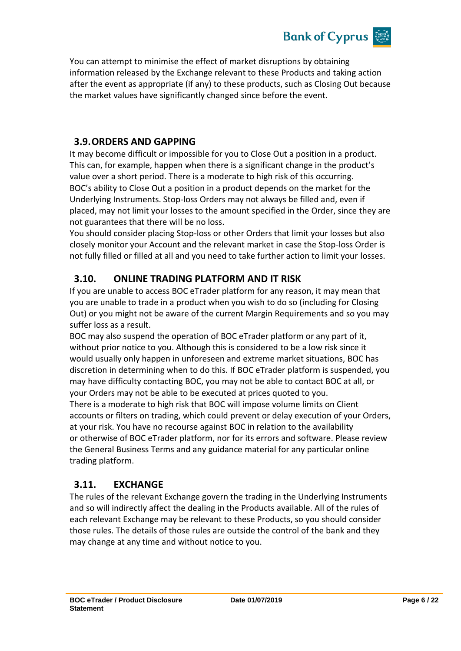

You can attempt to minimise the effect of market disruptions by obtaining information released by the Exchange relevant to these Products and taking action after the event as appropriate (if any) to these products, such as Closing Out because the market values have significantly changed since before the event.

# **3.9.ORDERS AND GAPPING**

It may become difficult or impossible for you to Close Out a position in a product. This can, for example, happen when there is a significant change in the product's value over a short period. There is a moderate to high risk of this occurring. BOC's ability to Close Out a position in a product depends on the market for the Underlying Instruments. Stop-loss Orders may not always be filled and, even if placed, may not limit your losses to the amount specified in the Order, since they are not guarantees that there will be no loss.

You should consider placing Stop-loss or other Orders that limit your losses but also closely monitor your Account and the relevant market in case the Stop-loss Order is not fully filled or filled at all and you need to take further action to limit your losses.

# **3.10. ONLINE TRADING PLATFORM AND IT RISK**

If you are unable to access BOC eTrader platform for any reason, it may mean that you are unable to trade in a product when you wish to do so (including for Closing Out) or you might not be aware of the current Margin Requirements and so you may suffer loss as a result.

BOC may also suspend the operation of BOC eTrader platform or any part of it, without prior notice to you. Although this is considered to be a low risk since it would usually only happen in unforeseen and extreme market situations, BOC has discretion in determining when to do this. If BOC eTrader platform is suspended, you may have difficulty contacting BOC, you may not be able to contact BOC at all, or your Orders may not be able to be executed at prices quoted to you. There is a moderate to high risk that BOC will impose volume limits on Client accounts or filters on trading, which could prevent or delay execution of your Orders, at your risk. You have no recourse against BOC in relation to the availability or otherwise of BOC eTrader platform, nor for its errors and software. Please review the General Business Terms and any guidance material for any particular online trading platform.

# **3.11. EXCHANGE**

The rules of the relevant Exchange govern the trading in the Underlying Instruments and so will indirectly affect the dealing in the Products available. All of the rules of each relevant Exchange may be relevant to these Products, so you should consider those rules. The details of those rules are outside the control of the bank and they may change at any time and without notice to you.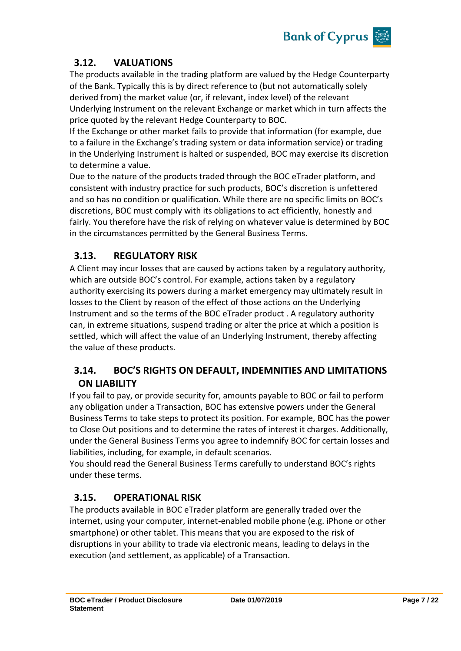

# **3.12. VALUATIONS**

The products available in the trading platform are valued by the Hedge Counterparty of the Bank. Typically this is by direct reference to (but not automatically solely derived from) the market value (or, if relevant, index level) of the relevant Underlying Instrument on the relevant Exchange or market which in turn affects the price quoted by the relevant Hedge Counterparty to BOC.

If the Exchange or other market fails to provide that information (for example, due to a failure in the Exchange's trading system or data information service) or trading in the Underlying Instrument is halted or suspended, BOC may exercise its discretion to determine a value.

Due to the nature of the products traded through the BOC eTrader platform, and consistent with industry practice for such products, BOC's discretion is unfettered and so has no condition or qualification. While there are no specific limits on BOC's discretions, BOC must comply with its obligations to act efficiently, honestly and fairly. You therefore have the risk of relying on whatever value is determined by BOC in the circumstances permitted by the General Business Terms.

# **3.13. REGULATORY RISK**

A Client may incur losses that are caused by actions taken by a regulatory authority, which are outside BOC's control. For example, actions taken by a regulatory authority exercising its powers during a market emergency may ultimately result in losses to the Client by reason of the effect of those actions on the Underlying Instrument and so the terms of the BOC eTrader product . A regulatory authority can, in extreme situations, suspend trading or alter the price at which a position is settled, which will affect the value of an Underlying Instrument, thereby affecting the value of these products.

# **3.14. BOC'S RIGHTS ON DEFAULT, INDEMNITIES AND LIMITATIONS ON LIABILITY**

If you fail to pay, or provide security for, amounts payable to BOC or fail to perform any obligation under a Transaction, BOC has extensive powers under the General Business Terms to take steps to protect its position. For example, BOC has the power to Close Out positions and to determine the rates of interest it charges. Additionally, under the General Business Terms you agree to indemnify BOC for certain losses and liabilities, including, for example, in default scenarios.

You should read the General Business Terms carefully to understand BOC's rights under these terms.

# **3.15. OPERATIONAL RISK**

The products available in BOC eTrader platform are generally traded over the internet, using your computer, internet-enabled mobile phone (e.g. iPhone or other smartphone) or other tablet. This means that you are exposed to the risk of disruptions in your ability to trade via electronic means, leading to delays in the execution (and settlement, as applicable) of a Transaction.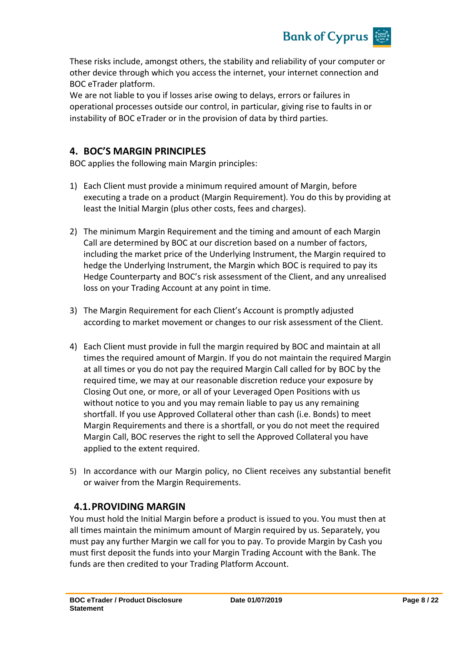

These risks include, amongst others, the stability and reliability of your computer or other device through which you access the internet, your internet connection and BOC eTrader platform.

We are not liable to you if losses arise owing to delays, errors or failures in operational processes outside our control, in particular, giving rise to faults in or instability of BOC eTrader or in the provision of data by third parties.

# **4. BOC'S MARGIN PRINCIPLES**

BOC applies the following main Margin principles:

- 1) Each Client must provide a minimum required amount of Margin, before executing a trade on a product (Margin Requirement). You do this by providing at least the Initial Margin (plus other costs, fees and charges).
- 2) The minimum Margin Requirement and the timing and amount of each Margin Call are determined by BOC at our discretion based on a number of factors, including the market price of the Underlying Instrument, the Margin required to hedge the Underlying Instrument, the Margin which BOC is required to pay its Hedge Counterparty and BOC's risk assessment of the Client, and any unrealised loss on your Trading Account at any point in time.
- 3) The Margin Requirement for each Client's Account is promptly adjusted according to market movement or changes to our risk assessment of the Client.
- 4) Each Client must provide in full the margin required by BOC and maintain at all times the required amount of Margin. If you do not maintain the required Margin at all times or you do not pay the required Margin Call called for by BOC by the required time, we may at our reasonable discretion reduce your exposure by Closing Out one, or more, or all of your Leveraged Open Positions with us without notice to you and you may remain liable to pay us any remaining shortfall. If you use Approved Collateral other than cash (i.e. Bonds) to meet Margin Requirements and there is a shortfall, or you do not meet the required Margin Call, BOC reserves the right to sell the Approved Collateral you have applied to the extent required.
- 5) In accordance with our Margin policy, no Client receives any substantial benefit or waiver from the Margin Requirements.

# **4.1.PROVIDING MARGIN**

You must hold the Initial Margin before a product is issued to you. You must then at all times maintain the minimum amount of Margin required by us. Separately, you must pay any further Margin we call for you to pay. To provide Margin by Cash you must first deposit the funds into your Margin Trading Account with the Bank. The funds are then credited to your Trading Platform Account.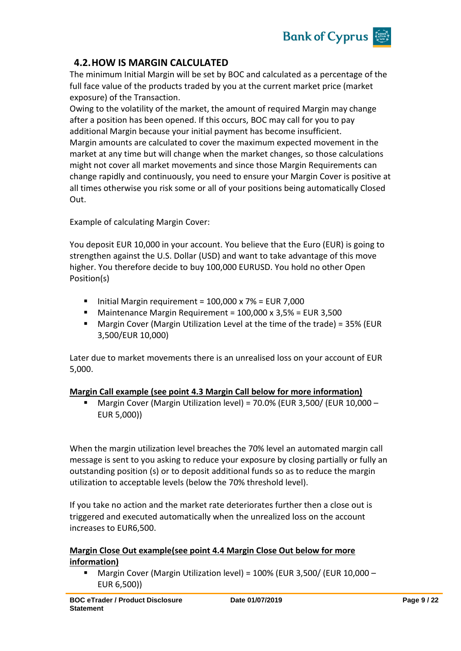

# **4.2.HOW IS MARGIN CALCULATED**

The minimum Initial Margin will be set by BOC and calculated as a percentage of the full face value of the products traded by you at the current market price (market exposure) of the Transaction.

Owing to the volatility of the market, the amount of required Margin may change after a position has been opened. If this occurs, BOC may call for you to pay additional Margin because your initial payment has become insufficient. Margin amounts are calculated to cover the maximum expected movement in the market at any time but will change when the market changes, so those calculations might not cover all market movements and since those Margin Requirements can change rapidly and continuously, you need to ensure your Margin Cover is positive at all times otherwise you risk some or all of your positions being automatically Closed Out.

Example of calculating Margin Cover:

You deposit EUR 10,000 in your account. You believe that the Euro (EUR) is going to strengthen against the U.S. Dollar (USD) and want to take advantage of this move higher. You therefore decide to buy 100,000 EURUSD. You hold no other Open Position(s)

- Initial Margin requirement =  $100,000 \times 7\%$  = EUR 7,000
- Maintenance Margin Requirement = 100,000 x 3,5% = EUR 3,500
- Margin Cover (Margin Utilization Level at the time of the trade) = 35% (EUR 3,500/EUR 10,000)

Later due to market movements there is an unrealised loss on your account of EUR 5,000.

#### **Margin Call example (see point 4.3 Margin Call below for more information)**

 Margin Cover (Margin Utilization level) = 70.0% (EUR 3,500/ (EUR 10,000 – EUR 5,000))

When the margin utilization level breaches the 70% level an automated margin call message is sent to you asking to reduce your exposure by closing partially or fully an outstanding position (s) or to deposit additional funds so as to reduce the margin utilization to acceptable levels (below the 70% threshold level).

If you take no action and the market rate deteriorates further then a close out is triggered and executed automatically when the unrealized loss on the account increases to EUR6,500.

#### **Margin Close Out example(see point 4.4 Margin Close Out below for more information)**

 Margin Cover (Margin Utilization level) = 100% (EUR 3,500/ (EUR 10,000 – EUR 6,500))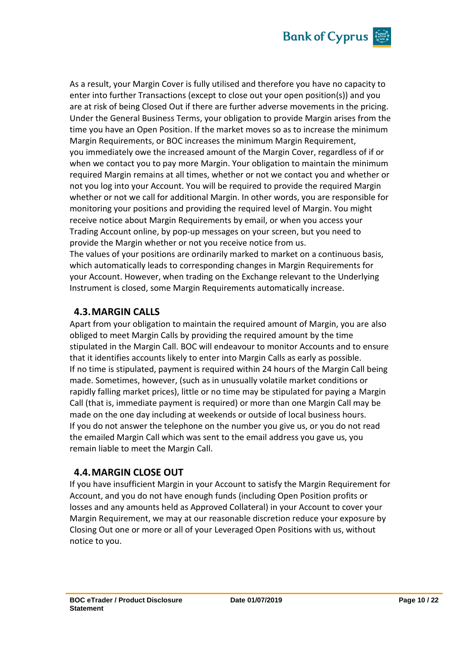

As a result, your Margin Cover is fully utilised and therefore you have no capacity to enter into further Transactions (except to close out your open position(s)) and you are at risk of being Closed Out if there are further adverse movements in the pricing. Under the General Business Terms, your obligation to provide Margin arises from the time you have an Open Position. If the market moves so as to increase the minimum Margin Requirements, or BOC increases the minimum Margin Requirement, you immediately owe the increased amount of the Margin Cover, regardless of if or when we contact you to pay more Margin. Your obligation to maintain the minimum required Margin remains at all times, whether or not we contact you and whether or not you log into your Account. You will be required to provide the required Margin whether or not we call for additional Margin. In other words, you are responsible for monitoring your positions and providing the required level of Margin. You might receive notice about Margin Requirements by email, or when you access your Trading Account online, by pop-up messages on your screen, but you need to provide the Margin whether or not you receive notice from us.

The values of your positions are ordinarily marked to market on a continuous basis, which automatically leads to corresponding changes in Margin Requirements for your Account. However, when trading on the Exchange relevant to the Underlying Instrument is closed, some Margin Requirements automatically increase.

#### **4.3.MARGIN CALLS**

Apart from your obligation to maintain the required amount of Margin, you are also obliged to meet Margin Calls by providing the required amount by the time stipulated in the Margin Call. BOC will endeavour to monitor Accounts and to ensure that it identifies accounts likely to enter into Margin Calls as early as possible. If no time is stipulated, payment is required within 24 hours of the Margin Call being made. Sometimes, however, (such as in unusually volatile market conditions or rapidly falling market prices), little or no time may be stipulated for paying a Margin Call (that is, immediate payment is required) or more than one Margin Call may be made on the one day including at weekends or outside of local business hours. If you do not answer the telephone on the number you give us, or you do not read the emailed Margin Call which was sent to the email address you gave us, you remain liable to meet the Margin Call.

## **4.4.MARGIN CLOSE OUT**

If you have insufficient Margin in your Account to satisfy the Margin Requirement for Account, and you do not have enough funds (including Open Position profits or losses and any amounts held as Approved Collateral) in your Account to cover your Margin Requirement, we may at our reasonable discretion reduce your exposure by Closing Out one or more or all of your Leveraged Open Positions with us, without notice to you.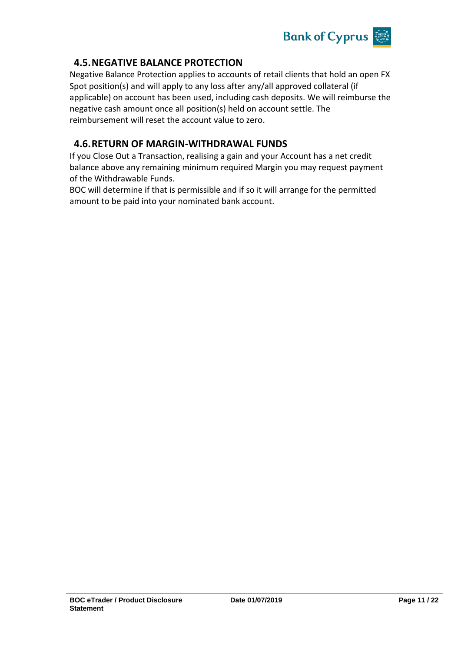

# **4.5.NEGATIVE BALANCE PROTECTION**

Negative Balance Protection applies to accounts of retail clients that hold an open FX Spot position(s) and will apply to any loss after any/all approved collateral (if applicable) on account has been used, including cash deposits. We will reimburse the negative cash amount once all position(s) held on account settle. The reimbursement will reset the account value to zero.

## **4.6.RETURN OF MARGIN-WITHDRAWAL FUNDS**

If you Close Out a Transaction, realising a gain and your Account has a net credit balance above any remaining minimum required Margin you may request payment of the Withdrawable Funds.

BOC will determine if that is permissible and if so it will arrange for the permitted amount to be paid into your nominated bank account.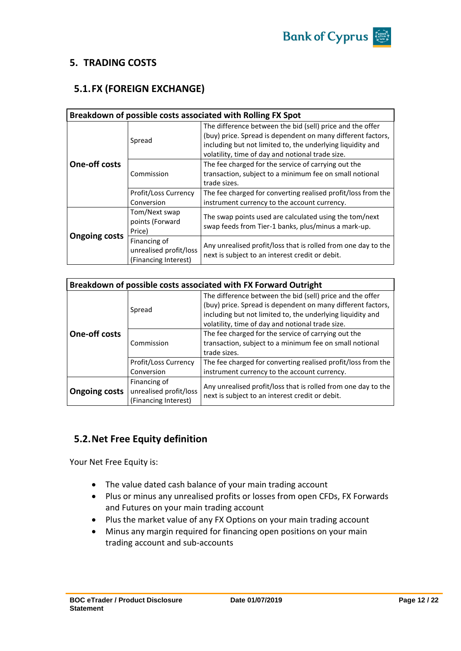

#### **5. TRADING COSTS**

# **5.1.FX (FOREIGN EXCHANGE)**

|                      | Breakdown of possible costs associated with Rolling FX Spot    |                                                                                                                                                                                                                                            |  |  |
|----------------------|----------------------------------------------------------------|--------------------------------------------------------------------------------------------------------------------------------------------------------------------------------------------------------------------------------------------|--|--|
| Spread               |                                                                | The difference between the bid (sell) price and the offer<br>(buy) price. Spread is dependent on many different factors,<br>including but not limited to, the underlying liquidity and<br>volatility, time of day and notional trade size. |  |  |
| <b>One-off costs</b> | Commission                                                     | The fee charged for the service of carrying out the<br>transaction, subject to a minimum fee on small notional<br>trade sizes.                                                                                                             |  |  |
|                      | Profit/Loss Currency<br>Conversion                             | The fee charged for converting realised profit/loss from the<br>instrument currency to the account currency.                                                                                                                               |  |  |
|                      | Tom/Next swap<br>points (Forward<br>Price)                     | The swap points used are calculated using the tom/next<br>swap feeds from Tier-1 banks, plus/minus a mark-up.                                                                                                                              |  |  |
| <b>Ongoing costs</b> | Financing of<br>unrealised profit/loss<br>(Financing Interest) | Any unrealised profit/loss that is rolled from one day to the<br>next is subject to an interest credit or debit.                                                                                                                           |  |  |

| Breakdown of possible costs associated with FX Forward Outright |                        |                                                                                                                  |  |
|-----------------------------------------------------------------|------------------------|------------------------------------------------------------------------------------------------------------------|--|
|                                                                 |                        | The difference between the bid (sell) price and the offer                                                        |  |
|                                                                 | Spread                 | (buy) price. Spread is dependent on many different factors,                                                      |  |
|                                                                 |                        | including but not limited to, the underlying liquidity and                                                       |  |
|                                                                 |                        | volatility, time of day and notional trade size.                                                                 |  |
| <b>One-off costs</b>                                            |                        | The fee charged for the service of carrying out the                                                              |  |
|                                                                 | Commission             | transaction, subject to a minimum fee on small notional                                                          |  |
|                                                                 |                        | trade sizes.                                                                                                     |  |
|                                                                 | Profit/Loss Currency   | The fee charged for converting realised profit/loss from the                                                     |  |
| Conversion                                                      |                        | instrument currency to the account currency.                                                                     |  |
| <b>Ongoing costs</b>                                            | Financing of           |                                                                                                                  |  |
|                                                                 | unrealised profit/loss | Any unrealised profit/loss that is rolled from one day to the<br>next is subject to an interest credit or debit. |  |
|                                                                 | (Financing Interest)   |                                                                                                                  |  |

# **5.2.Net Free Equity definition**

Your Net Free Equity is:

- The value dated cash balance of your main trading account
- Plus or minus any unrealised profits or losses from open CFDs, FX Forwards and Futures on your main trading account
- Plus the market value of any FX Options on your main trading account
- Minus any margin required for financing open positions on your main trading account and sub-accounts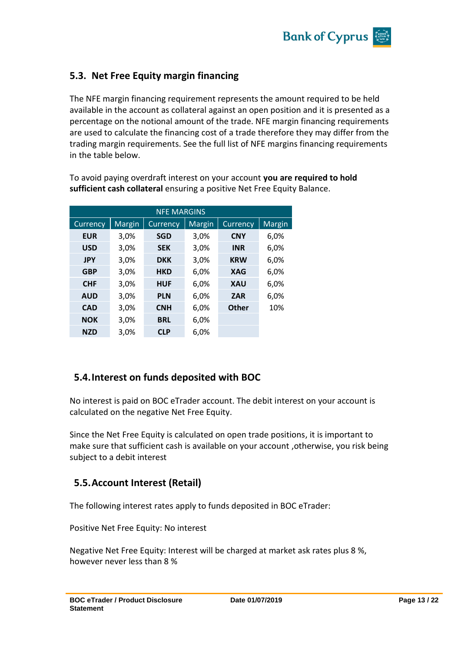

# **5.3. Net Free Equity margin financing**

The NFE margin financing requirement represents the amount required to be held available in the account as collateral against an open position and it is presented as a percentage on the notional amount of the trade. NFE margin financing requirements are used to calculate the financing cost of a trade therefore they may differ from the trading margin requirements. See the full list of NFE margins financing requirements in the table below.

NFE MARGINS Currency | Margin | Currency | Margin | Currency | Margin **EUR** 3,0% **SGD** 3,0% **CNY** 6,0% **USD** 3,0% **SEK** 3,0% **INR** 6,0% **JPY** 3,0% **DKK** 3,0% **KRW** 6,0% **GBP** 3,0% **HKD** 6,0% **XAG** 6,0% **CHF** 3,0% **HUF** 6,0% **XAU** 6,0% **AUD** 3,0% **PLN** 6,0% **ZAR** 6,0% **CAD** 3,0% **CNH** 6,0% **Other** 10% **NOK** 3,0% **BRL** 6,0% **NZD** 3,0% **CLP** 6,0%

To avoid paying overdraft interest on your account **you are required to hold sufficient cash collateral** ensuring a positive Net Free Equity Balance.

## **5.4.Interest on funds deposited with BOC**

No interest is paid on BOC eTrader account. The debit interest on your account is calculated on the negative Net Free Equity.

Since the Net Free Equity is calculated on open trade positions, it is important to make sure that sufficient cash is available on your account ,otherwise, you risk being subject to a debit interest

## **5.5.Account Interest (Retail)**

The following interest rates apply to funds deposited in BOC eTrader:

Positive Net Free Equity: No interest

Negative Net Free Equity: Interest will be charged at market ask rates plus 8 %, however never less than 8 %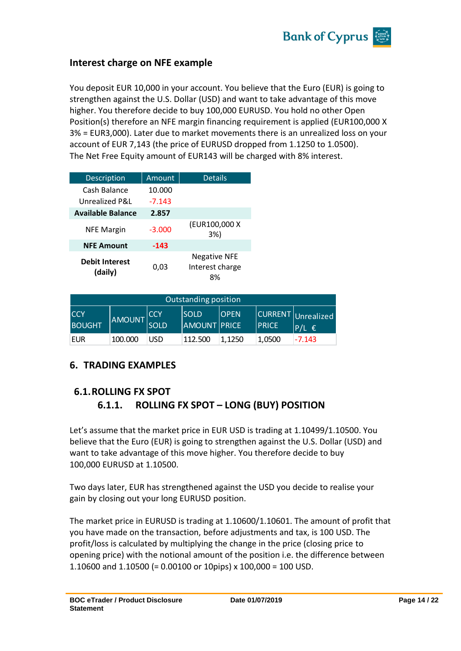

## **Interest charge on NFE example**

You deposit EUR 10,000 in your account. You believe that the Euro (EUR) is going to strengthen against the U.S. Dollar (USD) and want to take advantage of this move higher. You therefore decide to buy 100,000 EURUSD. You hold no other Open Position(s) therefore an NFE margin financing requirement is applied (EUR100,000 X 3% = EUR3,000). Later due to market movements there is an unrealized loss on your account of EUR 7,143 (the price of EURUSD dropped from 1.1250 to 1.0500). The Net Free Equity amount of EUR143 will be charged with 8% interest.

| <b>Description</b>               | Amount   | <b>Details</b>                               |
|----------------------------------|----------|----------------------------------------------|
| Cash Balance                     | 10.000   |                                              |
| Unrealized P&L                   | $-7.143$ |                                              |
| <b>Available Balance</b>         | 2.857    |                                              |
| <b>NFE Margin</b>                | $-3.000$ | (EUR100,000 X<br>3%)                         |
| <b>NFE Amount</b>                | $-143$   |                                              |
| <b>Debit Interest</b><br>(daily) | 0.03     | <b>Negative NFE</b><br>Interest charge<br>8% |

| Outstanding position         |               |                     |                                    |              |              |                                 |
|------------------------------|---------------|---------------------|------------------------------------|--------------|--------------|---------------------------------|
| <b>ICCY</b><br><b>BOUGHT</b> | <b>AMOUNT</b> | ICCY<br><b>SOLD</b> | <b>SOLD</b><br><b>AMOUNT PRICE</b> | <b>IOPEN</b> | <b>PRICE</b> | CURRENT Unrealized<br>$P/L \in$ |
| <b>EUR</b>                   | 100.000       | USD                 | 112.500                            | 1.1250       | 1,0500       | $-7.143$                        |

## **6. TRADING EXAMPLES**

# **6.1.ROLLING FX SPOT 6.1.1. ROLLING FX SPOT – LONG (BUY) POSITION**

Let's assume that the market price in EUR USD is trading at 1.10499/1.10500. You believe that the Euro (EUR) is going to strengthen against the U.S. Dollar (USD) and want to take advantage of this move higher. You therefore decide to buy 100,000 EURUSD at 1.10500.

Two days later, EUR has strengthened against the USD you decide to realise your gain by closing out your long EURUSD position.

The market price in EURUSD is trading at 1.10600/1.10601. The amount of profit that you have made on the transaction, before adjustments and tax, is 100 USD. The profit/loss is calculated by multiplying the change in the price (closing price to opening price) with the notional amount of the position i.e. the difference between 1.10600 and 1.10500 (= 0.00100 or 10pips) x 100,000 = 100 USD.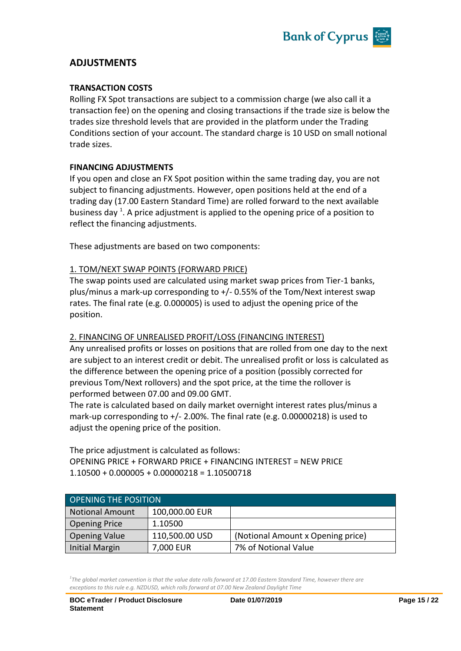

## **ADJUSTMENTS**

#### **TRANSACTION COSTS**

Rolling FX Spot transactions are subject to a commission charge (we also call it a transaction fee) on the opening and closing transactions if the trade size is below the trades size threshold levels that are provided in the platform under the Trading Conditions section of your account. The standard charge is 10 USD on small notional trade sizes.

#### **FINANCING ADJUSTMENTS**

If you open and close an FX Spot position within the same trading day, you are not subject to financing adjustments. However, open positions held at the end of a trading day (17.00 Eastern Standard Time) are rolled forward to the next available business day  $^1$ . A price adjustment is applied to the opening price of a position to reflect the financing adjustments.

These adjustments are based on two components:

#### 1. TOM/NEXT SWAP POINTS (FORWARD PRICE)

The swap points used are calculated using market swap prices from Tier-1 banks, plus/minus a mark-up corresponding to +/- 0.55% of the Tom/Next interest swap rates. The final rate (e.g. 0.000005) is used to adjust the opening price of the position.

#### 2. FINANCING OF UNREALISED PROFIT/LOSS (FINANCING INTEREST)

Any unrealised profits or losses on positions that are rolled from one day to the next are subject to an interest credit or debit. The unrealised profit or loss is calculated as the difference between the opening price of a position (possibly corrected for previous Tom/Next rollovers) and the spot price, at the time the rollover is performed between 07.00 and 09.00 GMT.

The rate is calculated based on daily market overnight interest rates plus/minus a mark-up corresponding to +/- 2.00%. The final rate (e.g. 0.00000218) is used to adjust the opening price of the position.

The price adjustment is calculated as follows: OPENING PRICE + FORWARD PRICE + FINANCING INTEREST = NEW PRICE  $1.10500 + 0.000005 + 0.00000218 = 1.10500718$ 

| <b>OPENING THE POSITION</b> |                |                                   |  |
|-----------------------------|----------------|-----------------------------------|--|
| Notional Amount             | 100,000.00 EUR |                                   |  |
| Opening Price               | 1.10500        |                                   |  |
| <b>Opening Value</b>        | 110,500.00 USD | (Notional Amount x Opening price) |  |
| Initial Margin              | 7,000 EUR      | 7% of Notional Value              |  |

<sup>1</sup>The global market convention is that the value date rolls forward at 17.00 Eastern Standard Time, however there are *exceptions to this rule e.g. NZDUSD, which rolls forward at 07.00 New Zealand Daylight Time*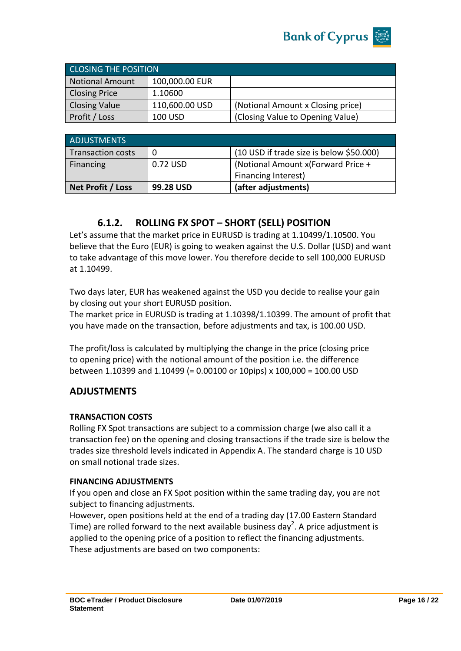

| <b>CLOSING THE POSITION</b> |                |                                   |
|-----------------------------|----------------|-----------------------------------|
| <b>Notional Amount</b>      | 100,000.00 EUR |                                   |
| <b>Closing Price</b>        | 1.10600        |                                   |
| <b>Closing Value</b>        | 110,600.00 USD | (Notional Amount x Closing price) |
| Profit / Loss               | 100 USD        | (Closing Value to Opening Value)  |

| <b>ADJUSTMENTS</b>       |           |                                          |
|--------------------------|-----------|------------------------------------------|
| <b>Transaction costs</b> | 0         | (10 USD if trade size is below \$50.000) |
| Financing                | 0.72 USD  | (Notional Amount x(Forward Price +       |
|                          |           | Financing Interest)                      |
| Net Profit / Loss        | 99.28 USD | (after adjustments)                      |

# **6.1.2. ROLLING FX SPOT – SHORT (SELL) POSITION**

Let's assume that the market price in EURUSD is trading at 1.10499/1.10500. You believe that the Euro (EUR) is going to weaken against the U.S. Dollar (USD) and want to take advantage of this move lower. You therefore decide to sell 100,000 EURUSD at 1.10499.

Two days later, EUR has weakened against the USD you decide to realise your gain by closing out your short EURUSD position.

The market price in EURUSD is trading at 1.10398/1.10399. The amount of profit that you have made on the transaction, before adjustments and tax, is 100.00 USD.

The profit/loss is calculated by multiplying the change in the price (closing price to opening price) with the notional amount of the position i.e. the difference between 1.10399 and 1.10499 (= 0.00100 or 10pips) x 100,000 = 100.00 USD

## **ADJUSTMENTS**

#### **TRANSACTION COSTS**

Rolling FX Spot transactions are subject to a commission charge (we also call it a transaction fee) on the opening and closing transactions if the trade size is below the trades size threshold levels indicated in Appendix A. The standard charge is 10 USD on small notional trade sizes.

#### **FINANCING ADJUSTMENTS**

If you open and close an FX Spot position within the same trading day, you are not subject to financing adjustments.

However, open positions held at the end of a trading day (17.00 Eastern Standard Time) are rolled forward to the next available business day<sup>2</sup>. A price adjustment is applied to the opening price of a position to reflect the financing adjustments. These adjustments are based on two components: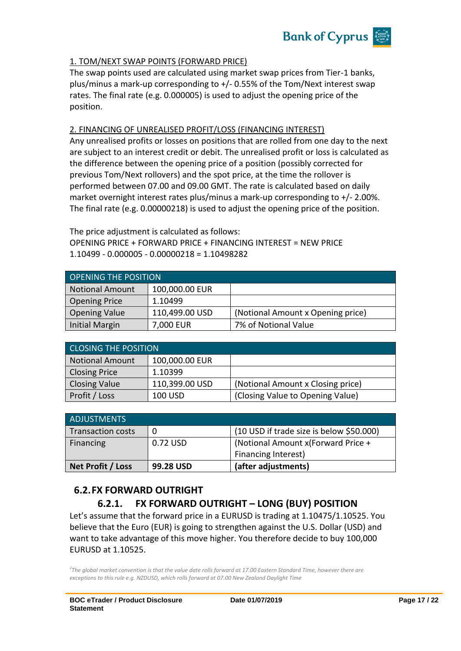

#### 1. TOM/NEXT SWAP POINTS (FORWARD PRICE)

The swap points used are calculated using market swap prices from Tier-1 banks, plus/minus a mark-up corresponding to +/- 0.55% of the Tom/Next interest swap rates. The final rate (e.g. 0.000005) is used to adjust the opening price of the position.

#### 2. FINANCING OF UNREALISED PROFIT/LOSS (FINANCING INTEREST)

Any unrealised profits or losses on positions that are rolled from one day to the next are subject to an interest credit or debit. The unrealised profit or loss is calculated as the difference between the opening price of a position (possibly corrected for previous Tom/Next rollovers) and the spot price, at the time the rollover is performed between 07.00 and 09.00 GMT. The rate is calculated based on daily market overnight interest rates plus/minus a mark-up corresponding to +/- 2.00%. The final rate (e.g. 0.00000218) is used to adjust the opening price of the position.

The price adjustment is calculated as follows: OPENING PRICE + FORWARD PRICE + FINANCING INTEREST = NEW PRICE 1.10499 - 0.000005 - 0.00000218 = 1.10498282

| <b>OPENING THE POSITION</b> |                |                                   |  |
|-----------------------------|----------------|-----------------------------------|--|
| Notional Amount             | 100,000.00 EUR |                                   |  |
| Opening Price               | 1.10499        |                                   |  |
| <b>Opening Value</b>        | 110,499.00 USD | (Notional Amount x Opening price) |  |
| Initial Margin              | 7,000 EUR      | 7% of Notional Value              |  |

| <b>CLOSING THE POSITION</b> |                |                                   |  |
|-----------------------------|----------------|-----------------------------------|--|
| <b>Notional Amount</b>      | 100,000.00 EUR |                                   |  |
| <b>Closing Price</b>        | 1.10399        |                                   |  |
| <b>Closing Value</b>        | 110,399.00 USD | (Notional Amount x Closing price) |  |
| Profit / Loss               | 100 USD        | (Closing Value to Opening Value)  |  |

| <b>ADJUSTMENTS</b>       |           |                                          |
|--------------------------|-----------|------------------------------------------|
| <b>Transaction costs</b> | 0         | (10 USD if trade size is below \$50.000) |
| Financing                | 0.72 USD  | (Notional Amount x(Forward Price +       |
|                          |           | Financing Interest)                      |
| Net Profit / Loss        | 99.28 USD | (after adjustments)                      |

# **6.2.FX FORWARD OUTRIGHT**

# **6.2.1. FX FORWARD OUTRIGHT – LONG (BUY) POSITION**

Let's assume that the forward price in a EURUSD is trading at 1.10475/1.10525. You believe that the Euro (EUR) is going to strengthen against the U.S. Dollar (USD) and want to take advantage of this move higher. You therefore decide to buy 100,000 EURUSD at 1.10525.

*2 The global market convention is that the value date rolls forward at 17.00 Eastern Standard Time, however there are exceptions to this rule e.g. NZDUSD, which rolls forward at 07.00 New Zealand Daylight Time*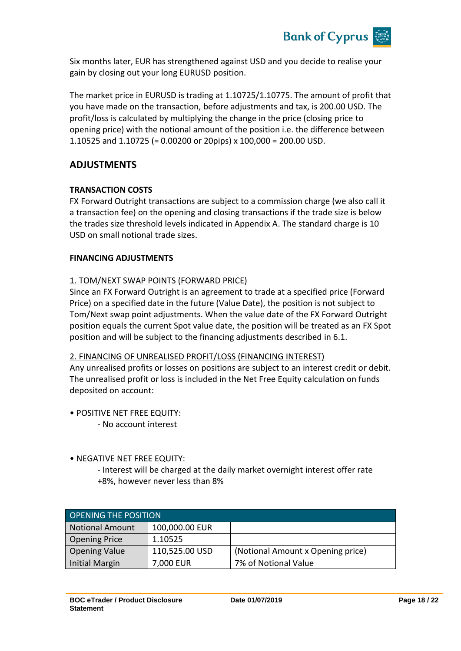

Six months later, EUR has strengthened against USD and you decide to realise your gain by closing out your long EURUSD position.

The market price in EURUSD is trading at 1.10725/1.10775. The amount of profit that you have made on the transaction, before adjustments and tax, is 200.00 USD. The profit/loss is calculated by multiplying the change in the price (closing price to opening price) with the notional amount of the position i.e. the difference between 1.10525 and 1.10725 (= 0.00200 or 20pips) x 100,000 = 200.00 USD.

#### **ADJUSTMENTS**

#### **TRANSACTION COSTS**

FX Forward Outright transactions are subject to a commission charge (we also call it a transaction fee) on the opening and closing transactions if the trade size is below the trades size threshold levels indicated in Appendix A. The standard charge is 10 USD on small notional trade sizes.

#### **FINANCING ADJUSTMENTS**

#### 1. TOM/NEXT SWAP POINTS (FORWARD PRICE)

Since an FX Forward Outright is an agreement to trade at a specified price (Forward Price) on a specified date in the future (Value Date), the position is not subject to Tom/Next swap point adjustments. When the value date of the FX Forward Outright position equals the current Spot value date, the position will be treated as an FX Spot position and will be subject to the financing adjustments described in 6.1.

#### 2. FINANCING OF UNREALISED PROFIT/LOSS (FINANCING INTEREST)

Any unrealised profits or losses on positions are subject to an interest credit or debit. The unrealised profit or loss is included in the Net Free Equity calculation on funds deposited on account:

- POSITIVE NET FREE EQUITY:
	- No account interest
- NEGATIVE NET FREE EQUITY:
	- Interest will be charged at the daily market overnight interest offer rate +8%, however never less than 8%

| OPENING THE POSITION |                |                                   |  |
|----------------------|----------------|-----------------------------------|--|
| Notional Amount      | 100,000.00 EUR |                                   |  |
| Opening Price        | 1.10525        |                                   |  |
| <b>Opening Value</b> | 110,525.00 USD | (Notional Amount x Opening price) |  |
| Initial Margin       | 7,000 EUR      | 7% of Notional Value              |  |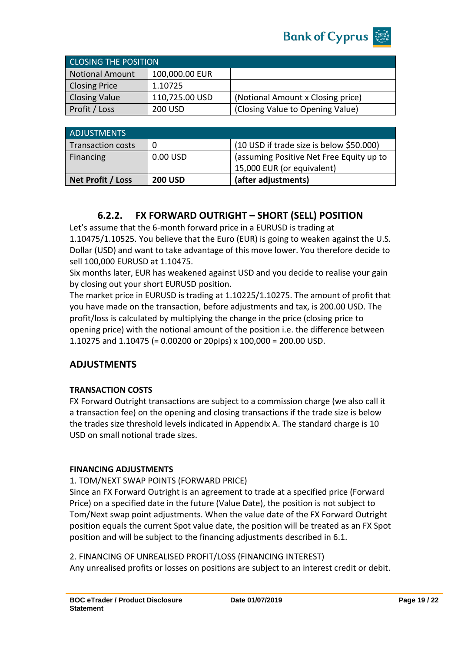

| <b>CLOSING THE POSITION</b> |                |                                   |
|-----------------------------|----------------|-----------------------------------|
| <b>Notional Amount</b>      | 100,000.00 EUR |                                   |
| <b>Closing Price</b>        | 1.10725        |                                   |
| <b>Closing Value</b>        | 110,725.00 USD | (Notional Amount x Closing price) |
| Profit / Loss               | 200 USD        | (Closing Value to Opening Value)  |

| <b>ADJUSTMENTS</b>       |                |                                          |
|--------------------------|----------------|------------------------------------------|
| <b>Transaction costs</b> |                | (10 USD if trade size is below \$50.000) |
| Financing                | $0.00$ USD     | (assuming Positive Net Free Equity up to |
|                          |                | 15,000 EUR (or equivalent)               |
| Net Profit / Loss        | <b>200 USD</b> | (after adjustments)                      |

# **6.2.2. FX FORWARD OUTRIGHT – SHORT (SELL) POSITION**

Let's assume that the 6-month forward price in a EURUSD is trading at 1.10475/1.10525. You believe that the Euro (EUR) is going to weaken against the U.S. Dollar (USD) and want to take advantage of this move lower. You therefore decide to sell 100,000 EURUSD at 1.10475.

Six months later, EUR has weakened against USD and you decide to realise your gain by closing out your short EURUSD position.

The market price in EURUSD is trading at 1.10225/1.10275. The amount of profit that you have made on the transaction, before adjustments and tax, is 200.00 USD. The profit/loss is calculated by multiplying the change in the price (closing price to opening price) with the notional amount of the position i.e. the difference between 1.10275 and 1.10475 (= 0.00200 or 20pips) x 100,000 = 200.00 USD.

## **ADJUSTMENTS**

#### **TRANSACTION COSTS**

FX Forward Outright transactions are subject to a commission charge (we also call it a transaction fee) on the opening and closing transactions if the trade size is below the trades size threshold levels indicated in Appendix A. The standard charge is 10 USD on small notional trade sizes.

#### **FINANCING ADJUSTMENTS**

#### 1. TOM/NEXT SWAP POINTS (FORWARD PRICE)

Since an FX Forward Outright is an agreement to trade at a specified price (Forward Price) on a specified date in the future (Value Date), the position is not subject to Tom/Next swap point adjustments. When the value date of the FX Forward Outright position equals the current Spot value date, the position will be treated as an FX Spot position and will be subject to the financing adjustments described in 6.1.

#### 2. FINANCING OF UNREALISED PROFIT/LOSS (FINANCING INTEREST)

Any unrealised profits or losses on positions are subject to an interest credit or debit.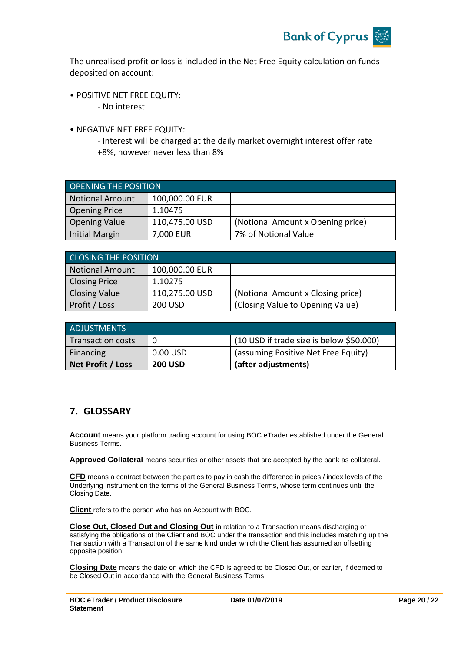

The unrealised profit or loss is included in the Net Free Equity calculation on funds deposited on account:

- POSITIVE NET FREE EQUITY:
	- No interest
- NEGATIVE NET FREE EQUITY:

- Interest will be charged at the daily market overnight interest offer rate +8%, however never less than 8%

| <b>OPENING THE POSITION</b> |                |                                   |
|-----------------------------|----------------|-----------------------------------|
| <b>Notional Amount</b>      | 100,000.00 EUR |                                   |
| <b>Opening Price</b>        | 1.10475        |                                   |
| <b>Opening Value</b>        | 110,475.00 USD | (Notional Amount x Opening price) |
| <b>Initial Margin</b>       | 7,000 EUR      | 7% of Notional Value              |

| <b>CLOSING THE POSITION</b> |                |                                   |  |
|-----------------------------|----------------|-----------------------------------|--|
| <b>Notional Amount</b>      | 100,000.00 EUR |                                   |  |
| <b>Closing Price</b>        | 1.10275        |                                   |  |
| <b>Closing Value</b>        | 110,275.00 USD | (Notional Amount x Closing price) |  |
| Profit / Loss               | 200 USD        | (Closing Value to Opening Value)  |  |

| ADJUSTMENTS              |                |                                          |
|--------------------------|----------------|------------------------------------------|
| <b>Transaction costs</b> | 0              | (10 USD if trade size is below \$50.000) |
| Financing                | 0.00 USD       | (assuming Positive Net Free Equity)      |
| Net Profit / Loss        | <b>200 USD</b> | (after adjustments)                      |

## **7. GLOSSARY**

**Account** means your platform trading account for using BOC eTrader established under the General Business Terms.

**Approved Collateral** means securities or other assets that are accepted by the bank as collateral.

**CFD** means a contract between the parties to pay in cash the difference in prices / index levels of the Underlying Instrument on the terms of the General Business Terms, whose term continues until the Closing Date.

**Client** refers to the person who has an Account with BOC.

**Close Out, Closed Out and Closing Out** in relation to a Transaction means discharging or satisfying the obligations of the Client and BOC under the transaction and this includes matching up the Transaction with a Transaction of the same kind under which the Client has assumed an offsetting opposite position.

**Closing Date** means the date on which the CFD is agreed to be Closed Out, or earlier, if deemed to be Closed Out in accordance with the General Business Terms.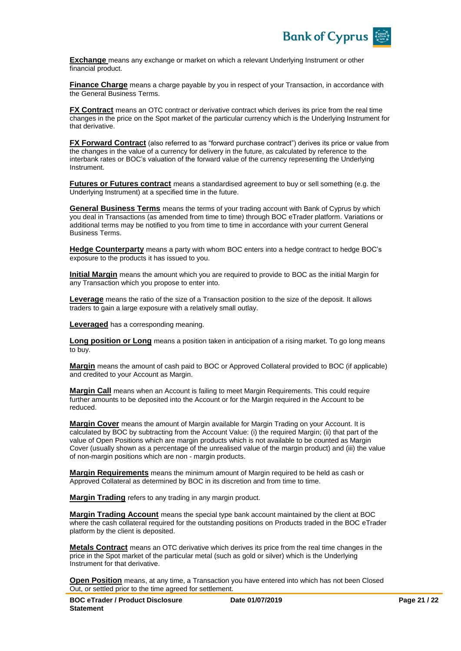

**Exchange** means any exchange or market on which a relevant Underlying Instrument or other financial product.

**Finance Charge** means a charge payable by you in respect of your Transaction, in accordance with the General Business Terms.

**FX Contract** means an OTC contract or derivative contract which derives its price from the real time changes in the price on the Spot market of the particular currency which is the Underlying Instrument for that derivative.

**FX Forward Contract** (also referred to as "forward purchase contract") derives its price or value from the changes in the value of a currency for delivery in the future, as calculated by reference to the interbank rates or BOC's valuation of the forward value of the currency representing the Underlying Instrument.

**Futures or Futures contract** means a standardised agreement to buy or sell something (e.g. the Underlying Instrument) at a specified time in the future.

**General Business Terms** means the terms of your trading account with Bank of Cyprus by which you deal in Transactions (as amended from time to time) through BOC eTrader platform. Variations or additional terms may be notified to you from time to time in accordance with your current General Business Terms.

**Hedge Counterparty** means a party with whom BOC enters into a hedge contract to hedge BOC's exposure to the products it has issued to you.

**Initial Margin** means the amount which you are required to provide to BOC as the initial Margin for any Transaction which you propose to enter into.

**Leverage** means the ratio of the size of a Transaction position to the size of the deposit. It allows traders to gain a large exposure with a relatively small outlay.

**Leveraged** has a corresponding meaning.

**Long position or Long** means a position taken in anticipation of a rising market. To go long means to buy.

**Margin** means the amount of cash paid to BOC or Approved Collateral provided to BOC (if applicable) and credited to your Account as Margin.

**Margin Call** means when an Account is failing to meet Margin Requirements. This could require further amounts to be deposited into the Account or for the Margin required in the Account to be reduced.

**Margin Cover** means the amount of Margin available for Margin Trading on your Account. It is calculated by BOC by subtracting from the Account Value: (i) the required Margin; (ii) that part of the value of Open Positions which are margin products which is not available to be counted as Margin Cover (usually shown as a percentage of the unrealised value of the margin product) and (iii) the value of non-margin positions which are non - margin products.

**Margin Requirements** means the minimum amount of Margin required to be held as cash or Approved Collateral as determined by BOC in its discretion and from time to time.

**Margin Trading** refers to any trading in any margin product.

**Margin Trading Account** means the special type bank account maintained by the client at BOC where the cash collateral required for the outstanding positions on Products traded in the BOC eTrader platform by the client is deposited.

**Metals Contract** means an OTC derivative which derives its price from the real time changes in the price in the Spot market of the particular metal (such as gold or silver) which is the Underlying Instrument for that derivative.

**Open Position** means, at any time, a Transaction you have entered into which has not been Closed Out, or settled prior to the time agreed for settlement.